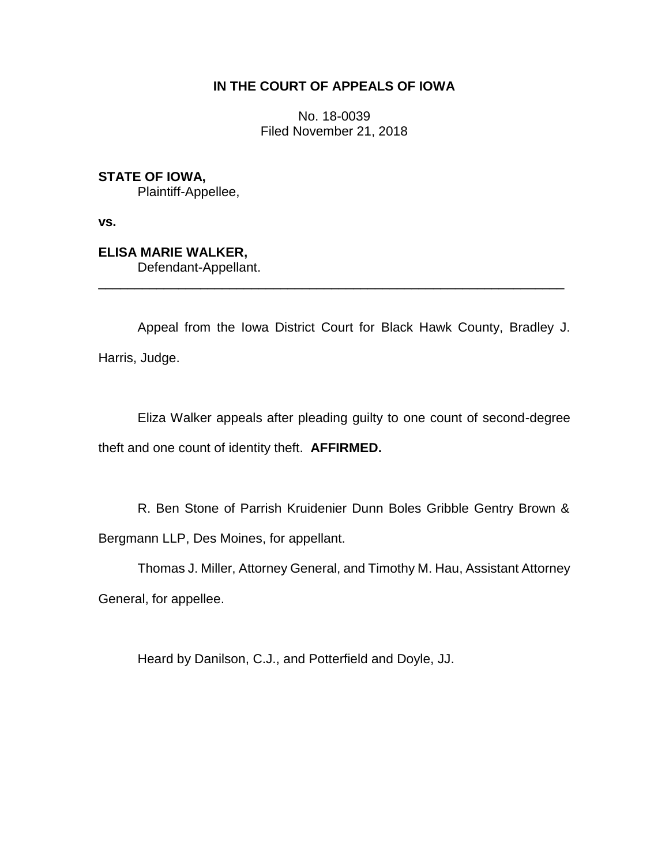# **IN THE COURT OF APPEALS OF IOWA**

No. 18-0039 Filed November 21, 2018

**STATE OF IOWA,**

Plaintiff-Appellee,

**vs.**

**ELISA MARIE WALKER,** Defendant-Appellant.

Appeal from the Iowa District Court for Black Hawk County, Bradley J. Harris, Judge.

\_\_\_\_\_\_\_\_\_\_\_\_\_\_\_\_\_\_\_\_\_\_\_\_\_\_\_\_\_\_\_\_\_\_\_\_\_\_\_\_\_\_\_\_\_\_\_\_\_\_\_\_\_\_\_\_\_\_\_\_\_\_\_\_

Eliza Walker appeals after pleading guilty to one count of second-degree theft and one count of identity theft. **AFFIRMED.**

R. Ben Stone of Parrish Kruidenier Dunn Boles Gribble Gentry Brown & Bergmann LLP, Des Moines, for appellant.

Thomas J. Miller, Attorney General, and Timothy M. Hau, Assistant Attorney

General, for appellee.

Heard by Danilson, C.J., and Potterfield and Doyle, JJ.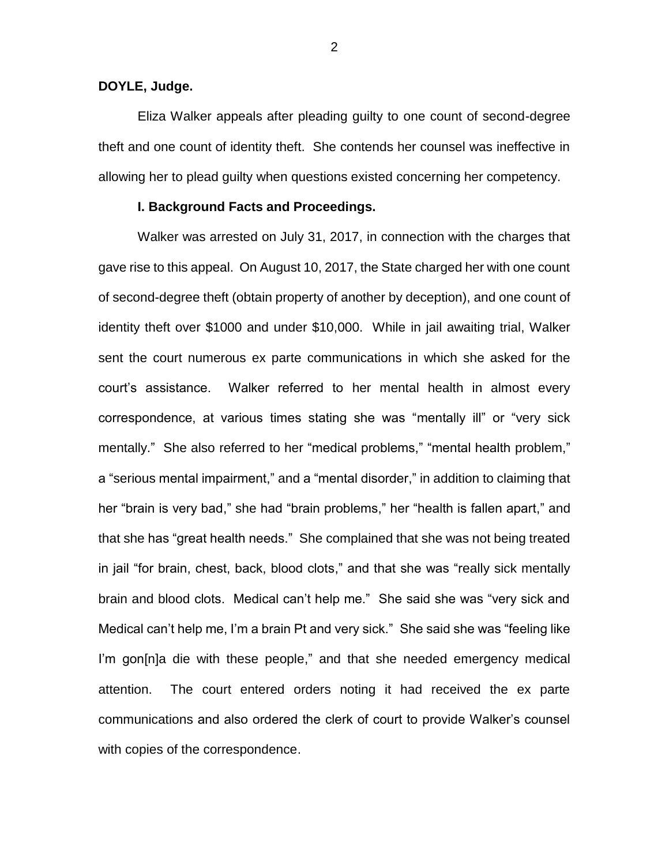**DOYLE, Judge.**

Eliza Walker appeals after pleading guilty to one count of second-degree theft and one count of identity theft. She contends her counsel was ineffective in allowing her to plead guilty when questions existed concerning her competency.

## **I. Background Facts and Proceedings.**

Walker was arrested on July 31, 2017, in connection with the charges that gave rise to this appeal. On August 10, 2017, the State charged her with one count of second-degree theft (obtain property of another by deception), and one count of identity theft over \$1000 and under \$10,000. While in jail awaiting trial, Walker sent the court numerous ex parte communications in which she asked for the court's assistance. Walker referred to her mental health in almost every correspondence, at various times stating she was "mentally ill" or "very sick mentally." She also referred to her "medical problems," "mental health problem," a "serious mental impairment," and a "mental disorder," in addition to claiming that her "brain is very bad," she had "brain problems," her "health is fallen apart," and that she has "great health needs." She complained that she was not being treated in jail "for brain, chest, back, blood clots," and that she was "really sick mentally brain and blood clots. Medical can't help me." She said she was "very sick and Medical can't help me, I'm a brain Pt and very sick." She said she was "feeling like I'm gon[n]a die with these people," and that she needed emergency medical attention. The court entered orders noting it had received the ex parte communications and also ordered the clerk of court to provide Walker's counsel with copies of the correspondence.

2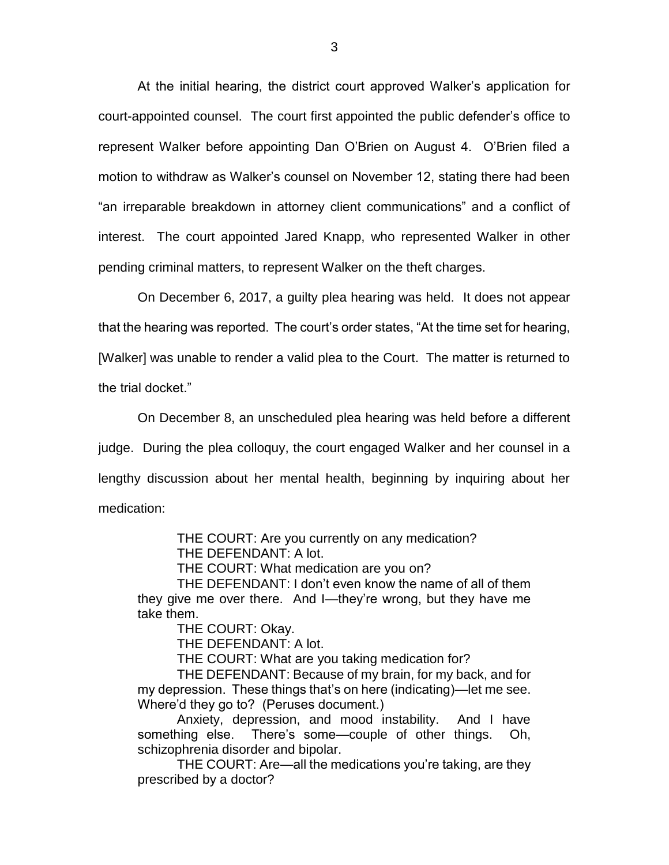At the initial hearing, the district court approved Walker's application for court-appointed counsel. The court first appointed the public defender's office to represent Walker before appointing Dan O'Brien on August 4. O'Brien filed a motion to withdraw as Walker's counsel on November 12, stating there had been "an irreparable breakdown in attorney client communications" and a conflict of interest. The court appointed Jared Knapp, who represented Walker in other pending criminal matters, to represent Walker on the theft charges.

On December 6, 2017, a guilty plea hearing was held. It does not appear that the hearing was reported. The court's order states, "At the time set for hearing, [Walker] was unable to render a valid plea to the Court. The matter is returned to the trial docket."

On December 8, an unscheduled plea hearing was held before a different judge. During the plea colloquy, the court engaged Walker and her counsel in a lengthy discussion about her mental health, beginning by inquiring about her medication:

> THE COURT: Are you currently on any medication? THE DEFENDANT: A lot.

THE COURT: What medication are you on?

THE DEFENDANT: I don't even know the name of all of them they give me over there. And I—they're wrong, but they have me take them.

THE COURT: Okay.

THE DEFENDANT: A lot.

THE COURT: What are you taking medication for?

THE DEFENDANT: Because of my brain, for my back, and for my depression. These things that's on here (indicating)—let me see. Where'd they go to? (Peruses document.)

Anxiety, depression, and mood instability. And I have something else. There's some—couple of other things. Oh, schizophrenia disorder and bipolar.

THE COURT: Are—all the medications you're taking, are they prescribed by a doctor?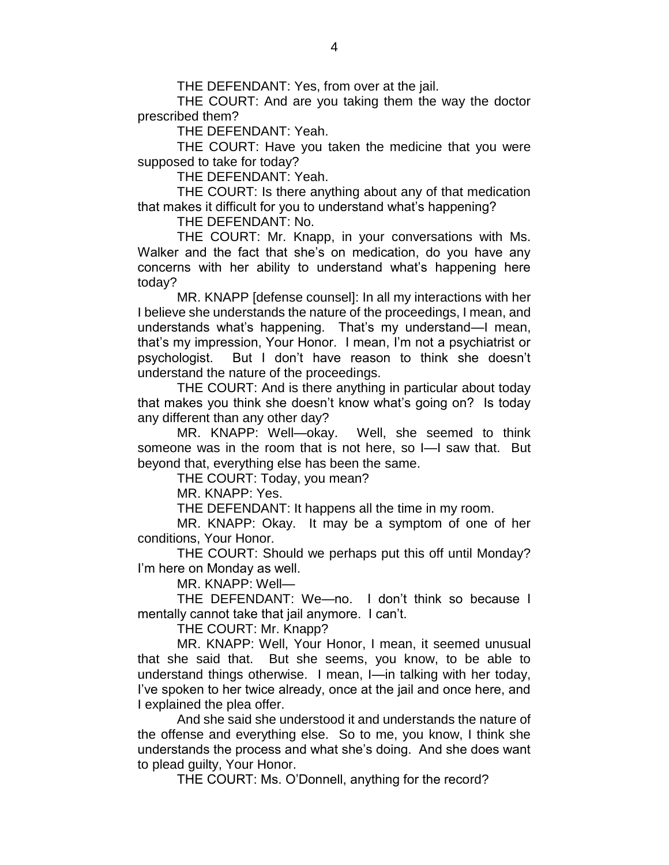THE DEFENDANT: Yes, from over at the jail.

THE COURT: And are you taking them the way the doctor prescribed them?

THE DEFENDANT: Yeah.

THE COURT: Have you taken the medicine that you were supposed to take for today?

THE DEFENDANT: Yeah.

THE COURT: Is there anything about any of that medication that makes it difficult for you to understand what's happening?

THE DEFENDANT: No.

THE COURT: Mr. Knapp, in your conversations with Ms. Walker and the fact that she's on medication, do you have any concerns with her ability to understand what's happening here today?

MR. KNAPP [defense counsel]: In all my interactions with her I believe she understands the nature of the proceedings, I mean, and understands what's happening. That's my understand—I mean, that's my impression, Your Honor. I mean, I'm not a psychiatrist or psychologist. But I don't have reason to think she doesn't understand the nature of the proceedings.

THE COURT: And is there anything in particular about today that makes you think she doesn't know what's going on? Is today any different than any other day?

MR. KNAPP: Well—okay. Well, she seemed to think someone was in the room that is not here, so I—I saw that. But beyond that, everything else has been the same.

THE COURT: Today, you mean?

MR. KNAPP: Yes.

THE DEFENDANT: It happens all the time in my room.

MR. KNAPP: Okay. It may be a symptom of one of her conditions, Your Honor.

THE COURT: Should we perhaps put this off until Monday? I'm here on Monday as well.

MR. KNAPP: Well—

THE DEFENDANT: We—no. I don't think so because I mentally cannot take that jail anymore. I can't.

THE COURT: Mr. Knapp?

MR. KNAPP: Well, Your Honor, I mean, it seemed unusual that she said that. But she seems, you know, to be able to understand things otherwise. I mean, I—in talking with her today, I've spoken to her twice already, once at the jail and once here, and I explained the plea offer.

And she said she understood it and understands the nature of the offense and everything else. So to me, you know, I think she understands the process and what she's doing. And she does want to plead guilty, Your Honor.

THE COURT: Ms. O'Donnell, anything for the record?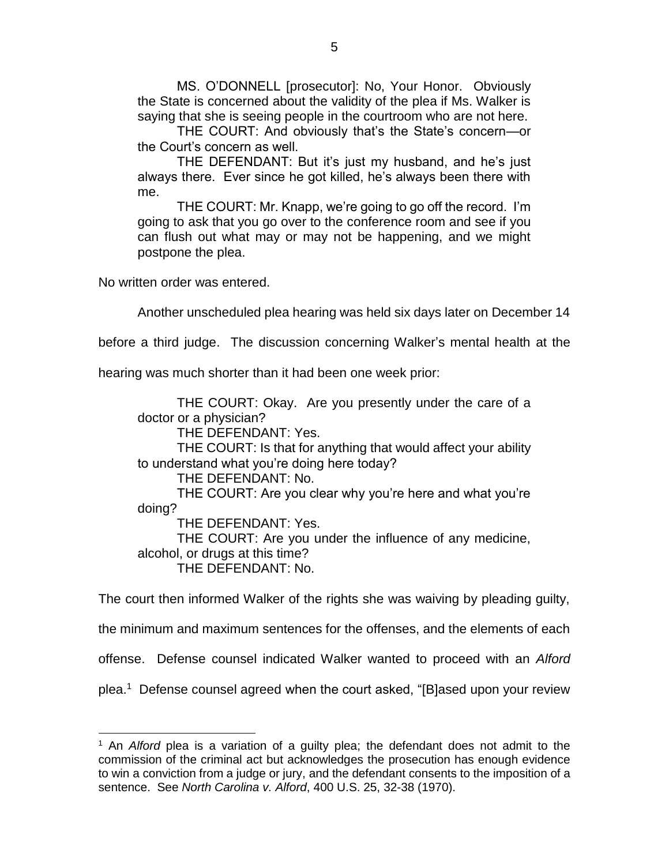MS. O'DONNELL [prosecutor]: No, Your Honor. Obviously the State is concerned about the validity of the plea if Ms. Walker is saying that she is seeing people in the courtroom who are not here.

THE COURT: And obviously that's the State's concern—or the Court's concern as well.

THE DEFENDANT: But it's just my husband, and he's just always there. Ever since he got killed, he's always been there with me.

THE COURT: Mr. Knapp, we're going to go off the record. I'm going to ask that you go over to the conference room and see if you can flush out what may or may not be happening, and we might postpone the plea.

No written order was entered.

 $\overline{a}$ 

Another unscheduled plea hearing was held six days later on December 14

before a third judge. The discussion concerning Walker's mental health at the

hearing was much shorter than it had been one week prior:

THE COURT: Okay. Are you presently under the care of a doctor or a physician? THE DEFENDANT: Yes. THE COURT: Is that for anything that would affect your ability to understand what you're doing here today? THE DEFENDANT: No. THE COURT: Are you clear why you're here and what you're doing? THE DEFENDANT: Yes.

THE COURT: Are you under the influence of any medicine, alcohol, or drugs at this time? THE DEFENDANT: No.

The court then informed Walker of the rights she was waiving by pleading guilty,

the minimum and maximum sentences for the offenses, and the elements of each

offense. Defense counsel indicated Walker wanted to proceed with an *Alford*

plea.<sup>1</sup> Defense counsel agreed when the court asked, "[B]ased upon your review

<sup>1</sup> An *Alford* plea is a variation of a guilty plea; the defendant does not admit to the commission of the criminal act but acknowledges the prosecution has enough evidence to win a conviction from a judge or jury, and the defendant consents to the imposition of a sentence. See *North Carolina v. Alford*, 400 U.S. 25, 32-38 (1970).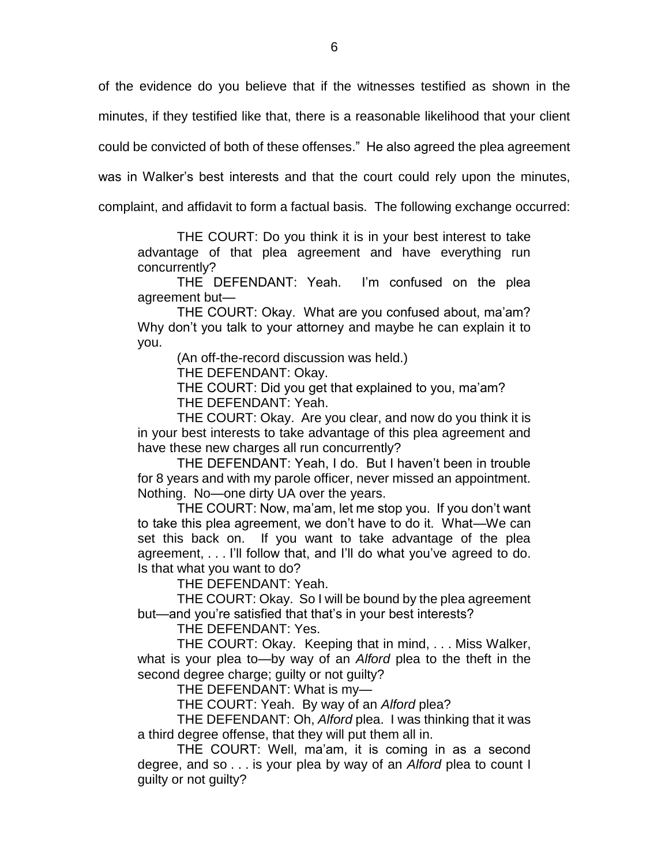of the evidence do you believe that if the witnesses testified as shown in the

minutes, if they testified like that, there is a reasonable likelihood that your client

could be convicted of both of these offenses." He also agreed the plea agreement

was in Walker's best interests and that the court could rely upon the minutes,

complaint, and affidavit to form a factual basis. The following exchange occurred:

THE COURT: Do you think it is in your best interest to take advantage of that plea agreement and have everything run concurrently?

THE DEFENDANT: Yeah. I'm confused on the plea agreement but—

THE COURT: Okay. What are you confused about, ma'am? Why don't you talk to your attorney and maybe he can explain it to you.

(An off-the-record discussion was held.)

THE DEFENDANT: Okay.

THE COURT: Did you get that explained to you, ma'am? THE DEFENDANT: Yeah.

THE COURT: Okay. Are you clear, and now do you think it is in your best interests to take advantage of this plea agreement and have these new charges all run concurrently?

THE DEFENDANT: Yeah, I do. But I haven't been in trouble for 8 years and with my parole officer, never missed an appointment. Nothing. No—one dirty UA over the years.

THE COURT: Now, ma'am, let me stop you. If you don't want to take this plea agreement, we don't have to do it. What—We can set this back on. If you want to take advantage of the plea agreement, . . . I'll follow that, and I'll do what you've agreed to do. Is that what you want to do?

THE DEFENDANT: Yeah.

THE COURT: Okay. So I will be bound by the plea agreement but—and you're satisfied that that's in your best interests?

THE DEFENDANT: Yes.

THE COURT: Okay. Keeping that in mind, . . . Miss Walker, what is your plea to—by way of an *Alford* plea to the theft in the second degree charge; guilty or not guilty?

THE DEFENDANT: What is my—

THE COURT: Yeah. By way of an *Alford* plea?

THE DEFENDANT: Oh, *Alford* plea. I was thinking that it was a third degree offense, that they will put them all in.

THE COURT: Well, ma'am, it is coming in as a second degree, and so . . . is your plea by way of an *Alford* plea to count I guilty or not guilty?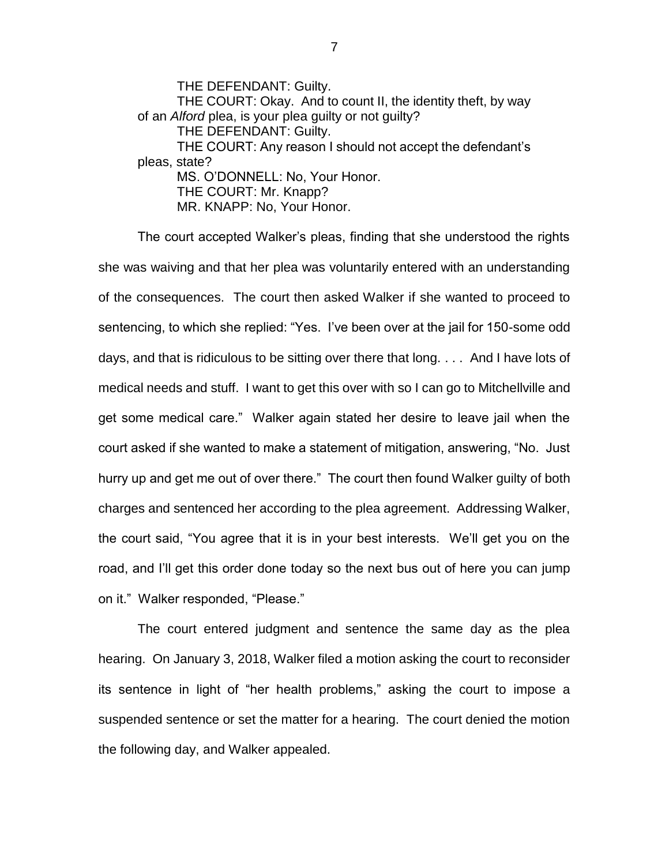THE DEFENDANT: Guilty. THE COURT: Okay. And to count II, the identity theft, by way of an *Alford* plea, is your plea guilty or not guilty? THE DEFENDANT: Guilty. THE COURT: Any reason I should not accept the defendant's pleas, state? MS. O'DONNELL: No, Your Honor. THE COURT: Mr. Knapp? MR. KNAPP: No, Your Honor.

The court accepted Walker's pleas, finding that she understood the rights she was waiving and that her plea was voluntarily entered with an understanding of the consequences. The court then asked Walker if she wanted to proceed to sentencing, to which she replied: "Yes. I've been over at the jail for 150-some odd days, and that is ridiculous to be sitting over there that long. . . . And I have lots of medical needs and stuff. I want to get this over with so I can go to Mitchellville and get some medical care." Walker again stated her desire to leave jail when the court asked if she wanted to make a statement of mitigation, answering, "No. Just hurry up and get me out of over there." The court then found Walker guilty of both charges and sentenced her according to the plea agreement. Addressing Walker, the court said, "You agree that it is in your best interests. We'll get you on the road, and I'll get this order done today so the next bus out of here you can jump on it." Walker responded, "Please."

The court entered judgment and sentence the same day as the plea hearing. On January 3, 2018, Walker filed a motion asking the court to reconsider its sentence in light of "her health problems," asking the court to impose a suspended sentence or set the matter for a hearing. The court denied the motion the following day, and Walker appealed.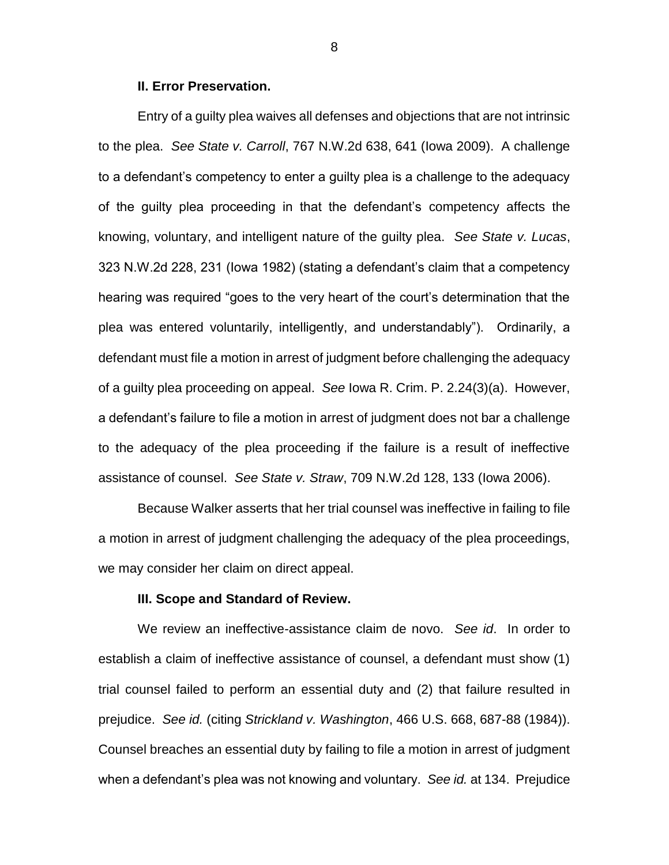#### **II. Error Preservation.**

Entry of a guilty plea waives all defenses and objections that are not intrinsic to the plea. *See State v. Carroll*, 767 N.W.2d 638, 641 (Iowa 2009). A challenge to a defendant's competency to enter a guilty plea is a challenge to the adequacy of the guilty plea proceeding in that the defendant's competency affects the knowing, voluntary, and intelligent nature of the guilty plea. *See State v. Lucas*, 323 N.W.2d 228, 231 (Iowa 1982) (stating a defendant's claim that a competency hearing was required "goes to the very heart of the court's determination that the plea was entered voluntarily, intelligently, and understandably"). Ordinarily, a defendant must file a motion in arrest of judgment before challenging the adequacy of a guilty plea proceeding on appeal. *See* Iowa R. Crim. P. 2.24(3)(a). However, a defendant's failure to file a motion in arrest of judgment does not bar a challenge to the adequacy of the plea proceeding if the failure is a result of ineffective assistance of counsel. *See State v. Straw*, 709 N.W.2d 128, 133 (Iowa 2006).

Because Walker asserts that her trial counsel was ineffective in failing to file a motion in arrest of judgment challenging the adequacy of the plea proceedings, we may consider her claim on direct appeal.

## **III. Scope and Standard of Review.**

We review an ineffective-assistance claim de novo. *See id*. In order to establish a claim of ineffective assistance of counsel, a defendant must show (1) trial counsel failed to perform an essential duty and (2) that failure resulted in prejudice. *See id.* (citing *Strickland v. Washington*, 466 U.S. 668, 687-88 (1984)). Counsel breaches an essential duty by failing to file a motion in arrest of judgment when a defendant's plea was not knowing and voluntary. *See id.* at 134. Prejudice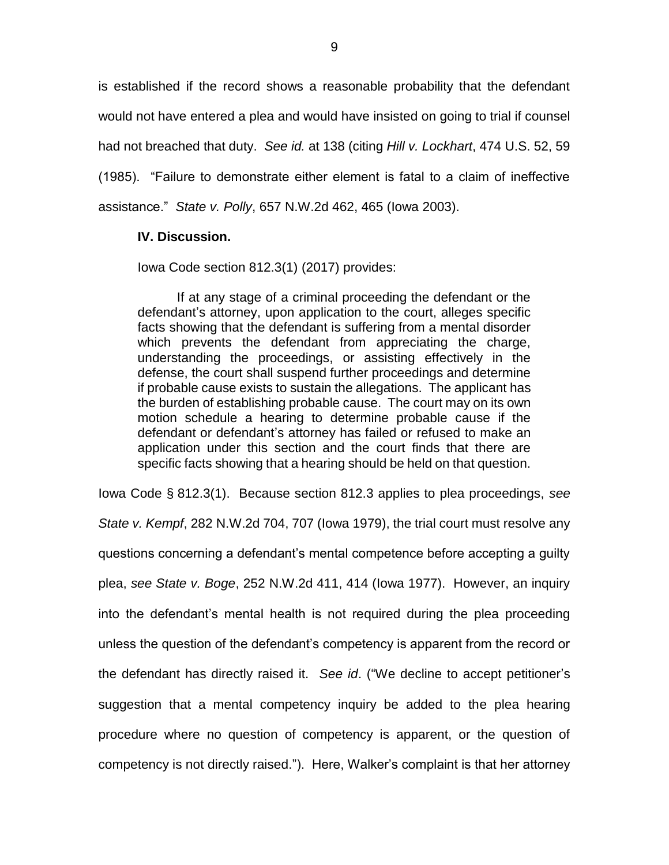is established if the record shows a reasonable probability that the defendant would not have entered a plea and would have insisted on going to trial if counsel had not breached that duty. *See id.* at 138 (citing *Hill v. Lockhart*, 474 U.S. 52, 59 (1985). "Failure to demonstrate either element is fatal to a claim of ineffective assistance." *State v. Polly*, 657 N.W.2d 462, 465 (Iowa 2003).

## **IV. Discussion.**

Iowa Code section 812.3(1) (2017) provides:

If at any stage of a criminal proceeding the defendant or the defendant's attorney, upon application to the court, alleges specific facts showing that the defendant is suffering from a mental disorder which prevents the defendant from appreciating the charge, understanding the proceedings, or assisting effectively in the defense, the court shall suspend further proceedings and determine if probable cause exists to sustain the allegations. The applicant has the burden of establishing probable cause. The court may on its own motion schedule a hearing to determine probable cause if the defendant or defendant's attorney has failed or refused to make an application under this section and the court finds that there are specific facts showing that a hearing should be held on that question.

Iowa Code § 812.3(1). Because section 812.3 applies to plea proceedings, *see State v. Kempf*, 282 N.W.2d 704, 707 (Iowa 1979), the trial court must resolve any questions concerning a defendant's mental competence before accepting a guilty plea, *see State v. Boge*, 252 N.W.2d 411, 414 (Iowa 1977). However, an inquiry into the defendant's mental health is not required during the plea proceeding unless the question of the defendant's competency is apparent from the record or the defendant has directly raised it. *See id*. ("We decline to accept petitioner's suggestion that a mental competency inquiry be added to the plea hearing procedure where no question of competency is apparent, or the question of competency is not directly raised."). Here, Walker's complaint is that her attorney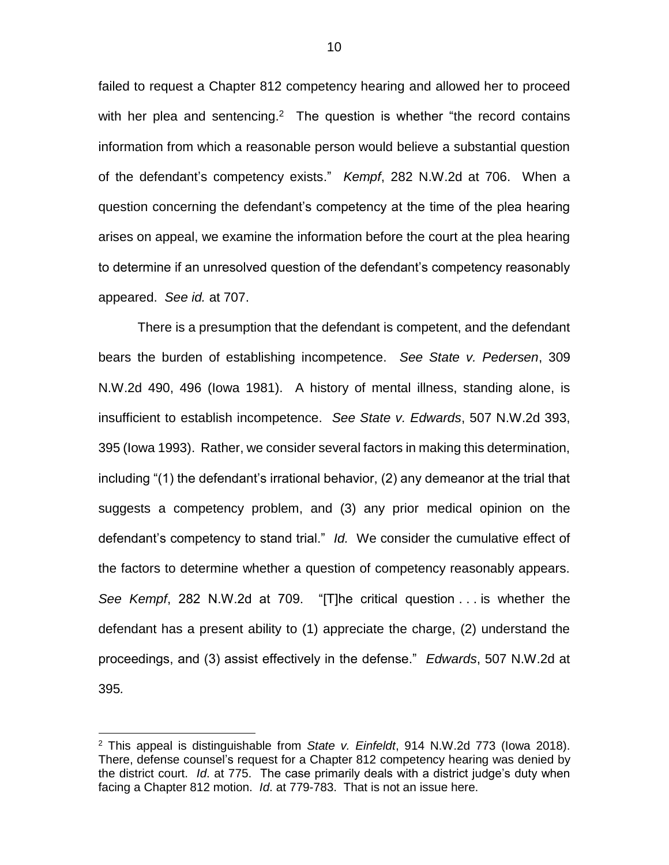failed to request a Chapter 812 competency hearing and allowed her to proceed with her plea and sentencing.<sup>2</sup> The question is whether "the record contains information from which a reasonable person would believe a substantial question of the defendant's competency exists." *Kempf*, 282 N.W.2d at 706. When a question concerning the defendant's competency at the time of the plea hearing arises on appeal, we examine the information before the court at the plea hearing to determine if an unresolved question of the defendant's competency reasonably appeared. *See id.* at 707.

There is a presumption that the defendant is competent, and the defendant bears the burden of establishing incompetence. *See State v. Pedersen*, 309 N.W.2d 490, 496 (Iowa 1981). A history of mental illness, standing alone, is insufficient to establish incompetence. *See State v. Edwards*, 507 N.W.2d 393, 395 (Iowa 1993). Rather, we consider several factors in making this determination, including "(1) the defendant's irrational behavior, (2) any demeanor at the trial that suggests a competency problem, and (3) any prior medical opinion on the defendant's competency to stand trial." *Id.* We consider the cumulative effect of the factors to determine whether a question of competency reasonably appears. *See Kempf*, 282 N.W.2d at 709. "[T]he critical question . . . is whether the defendant has a present ability to (1) appreciate the charge, (2) understand the proceedings, and (3) assist effectively in the defense." *Edwards*, 507 N.W.2d at 395*.*

 $\overline{a}$ 

<sup>2</sup> This appeal is distinguishable from *State v. Einfeldt*, 914 N.W.2d 773 (Iowa 2018). There, defense counsel's request for a Chapter 812 competency hearing was denied by the district court. *Id*. at 775. The case primarily deals with a district judge's duty when facing a Chapter 812 motion. *Id*. at 779-783. That is not an issue here.